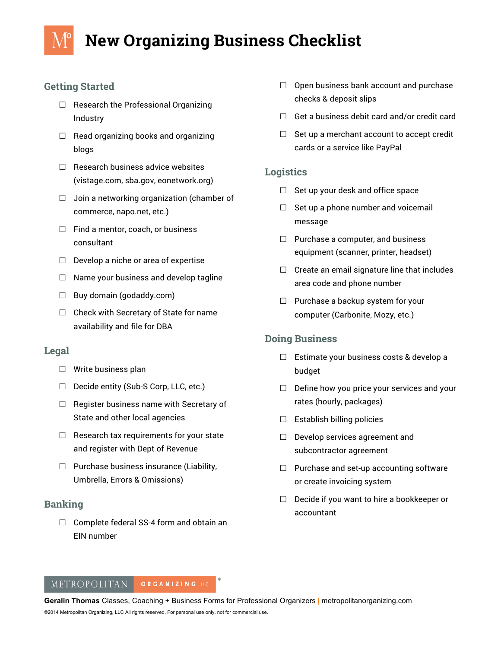# **New Organizing Business Checklist**

# **Getting Started**

- $\Box$  Research the Professional Organizing Industry
- $\Box$  Read organizing books and organizing blogs
- $\Box$  Research business advice websites (vistage.com, sba.gov, eonetwork.org)
- $\Box$  Join a networking organization (chamber of commerce, napo.net, etc.)
- $\Box$  Find a mentor, coach, or business consultant
- $\square$  Develop a niche or area of expertise
- $\Box$  Name your business and develop tagline
- $\Box$  Buy domain (godaddy.com)
- $\Box$  Check with Secretary of State for name availability and file for DBA

## **Legal**

- $\Box$  Write business plan
- $\Box$  Decide entity (Sub-S Corp, LLC, etc.)
- $\Box$  Register business name with Secretary of State and other local agencies
- $\Box$  Research tax requirements for your state and register with Dept of Revenue
- $\Box$  Purchase business insurance (Liability, Umbrella, Errors & Omissions)

## **Banking**

 $\Box$  Complete federal SS-4 form and obtain an EIN number

- $\Box$  Open business bank account and purchase checks & deposit slips
- $\Box$  Get a business debit card and/or credit card
- $\Box$  Set up a merchant account to accept credit cards or a service like PayPal

### **Logistics**

- $\Box$  Set up your desk and office space
- $\Box$  Set up a phone number and voicemail message
- $\Box$  Purchase a computer, and business equipment (scanner, printer, headset)
- $\Box$  Create an email signature line that includes area code and phone number
- $\Box$  Purchase a backup system for your computer (Carbonite, Mozy, etc.)

# **Doing Business**

- $\Box$  Estimate your business costs & develop a budget
- $\Box$  Define how you price your services and your rates (hourly, packages)
- $\Box$  Establish billing policies
- $\Box$  Develop services agreement and subcontractor agreement
- $\Box$  Purchase and set-up accounting software or create invoicing system
- $\Box$  Decide if you want to hire a bookkeeper or accountant

#### METROPOLITAN ORGANIZING LLC

**Geralin Thomas** Classes, Coaching + Business Forms for Professional Organizers | metropolitanorganizing.com ©2014 Metropolitan Organizing, LLC All rights reserved. For personal use only, not for commercial use.